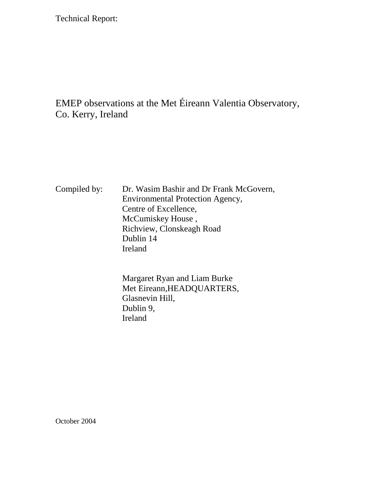Technical Report:

# EMEP observations at the Met Éireann Valentia Observatory, Co. Kerry, Ireland

Compiled by: Dr. Wasim Bashir and Dr Frank McGovern, Environmental Protection Agency, Centre of Excellence, McCumiskey House, Richview, Clonskeagh Road Dublin 14 Ireland

> Margaret Ryan and Liam Burke Met Eireann,HEADQUARTERS, Glasnevin Hill, Dublin 9, Ireland

October 2004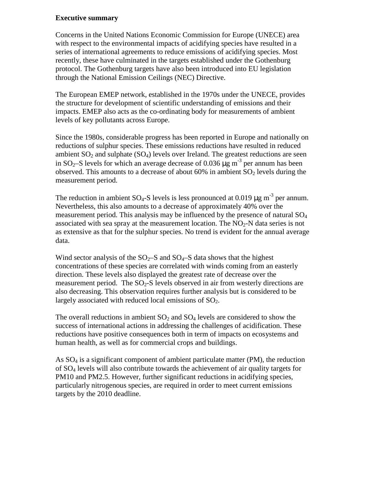## **Executive summary**

Concerns in the United Nations Economic Commission for Europe (UNECE) area with respect to the environmental impacts of acidifying species have resulted in a series of international agreements to reduce emissions of acidifying species. Most recently, these have culminated in the targets established under the Gothenburg protocol. The Gothenburg targets have also been introduced into EU legislation through the National Emission Ceilings (NEC) Directive.

The European EMEP network, established in the 1970s under the UNECE, provides the structure for development of scientific understanding of emissions and their impacts. EMEP also acts as the co-ordinating body for measurements of ambient levels of key pollutants across Europe.

Since the 1980s, considerable progress has been reported in Europe and nationally on reductions of sulphur species. These emissions reductions have resulted in reduced ambient  $SO_2$  and sulphate  $(SO_4)$  levels over Ireland. The greatest reductions are seen in SO<sub>2</sub>–S levels for which an average decrease of 0.036  $\mu$ g m<sup>-3</sup> per annum has been observed. This amounts to a decrease of about  $60\%$  in ambient  $SO<sub>2</sub>$  levels during the measurement period.

The reduction in ambient SO<sub>4</sub>-S levels is less pronounced at 0.019  $\mu$ g m<sup>-3</sup> per annum. Nevertheless, this also amounts to a decrease of approximately 40% over the measurement period. This analysis may be influenced by the presence of natural  $SO_4$ associated with sea spray at the measurement location. The  $NO<sub>2</sub>-N$  data series is not as extensive as that for the sulphur species. No trend is evident for the annual average data.

Wind sector analysis of the  $SO_2-S$  and  $SO_4-S$  data shows that the highest concentrations of these species are correlated with winds coming from an easterly direction. These levels also displayed the greatest rate of decrease over the measurement period. The  $SO<sub>2</sub>-S$  levels observed in air from westerly directions are also decreasing. This observation requires further analysis but is considered to be largely associated with reduced local emissions of  $SO<sub>2</sub>$ .

The overall reductions in ambient  $SO_2$  and  $SO_4$  levels are considered to show the success of international actions in addressing the challenges of acidification. These reductions have positive consequences both in term of impacts on ecosystems and human health, as well as for commercial crops and buildings.

As  $SO<sub>4</sub>$  is a significant component of ambient particulate matter (PM), the reduction of SO<sup>4</sup> levels will also contribute towards the achievement of air quality targets for PM10 and PM2.5. However, further significant reductions in acidifying species, particularly nitrogenous species, are required in order to meet current emissions targets by the 2010 deadline.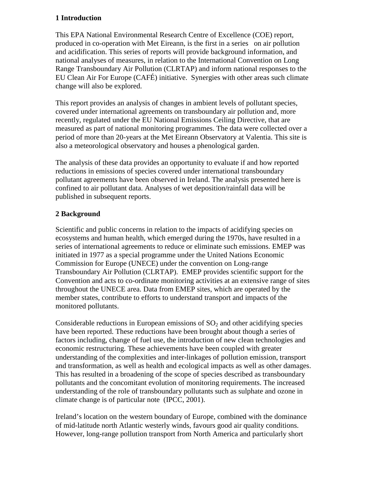## **1 Introduction**

This EPA National Environmental Research Centre of Excellence (COE) report, produced in co-operation with Met Eireann, is the first in a series on air pollution and acidification. This series of reports will provide background information, and national analyses of measures, in relation to the International Convention on Long Range Transboundary Air Pollution (CLRTAP) and inform national responses to the EU Clean Air For Europe (CAFÉ) initiative. Synergies with other areas such climate change will also be explored.

This report provides an analysis of changes in ambient levels of pollutant species, covered under international agreements on transboundary air pollution and, more recently, regulated under the EU National Emissions Ceiling Directive, that are measured as part of national monitoring programmes. The data were collected over a period of more than 20-years at the Met Eireann Observatory at Valentia. This site is also a meteorological observatory and houses a phenological garden.

The analysis of these data provides an opportunity to evaluate if and how reported reductions in emissions of species covered under international transboundary pollutant agreements have been observed in Ireland. The analysis presented here is confined to air pollutant data. Analyses of wet deposition/rainfall data will be published in subsequent reports.

# **2 Background**

Scientific and public concerns in relation to the impacts of acidifying species on ecosystems and human health, which emerged during the 1970s, have resulted in a series of international agreements to reduce or eliminate such emissions. EMEP was initiated in 1977 as a special programme under the United Nations Economic Commission for Europe (UNECE) under the convention on Long-range Transboundary Air Pollution (CLRTAP). EMEP provides scientific support for the Convention and acts to co-ordinate monitoring activities at an extensive range of sites throughout the UNECE area. Data from EMEP sites, which are operated by the member states, contribute to efforts to understand transport and impacts of the monitored pollutants.

Considerable reductions in European emissions of  $SO<sub>2</sub>$  and other acidifying species have been reported. These reductions have been brought about though a series of factors including, change of fuel use, the introduction of new clean technologies and economic restructuring. These achievements have been coupled with greater understanding of the complexities and inter-linkages of pollution emission, transport and transformation, as well as health and ecological impacts as well as other damages. This has resulted in a broadening of the scope of species described as transboundary pollutants and the concomitant evolution of monitoring requirements. The increased understanding of the role of transboundary pollutants such as sulphate and ozone in climate change is of particular note (IPCC, 2001).

Ireland's location on the western boundary of Europe, combined with the dominance of mid-latitude north Atlantic westerly winds, favours good air quality conditions. However, long-range pollution transport from North America and particularly short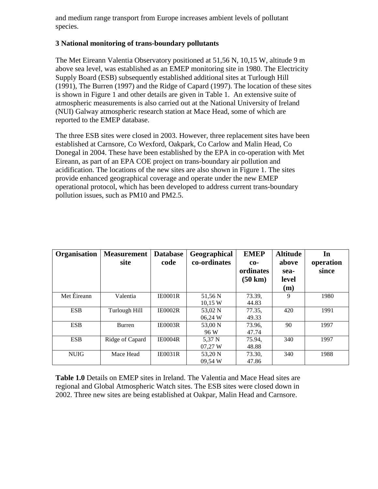and medium range transport from Europe increases ambient levels of pollutant species.

## **3 National monitoring of trans-boundary pollutants**

The Met Eireann Valentia Observatory positioned at 51,56 N, 10,15 W, altitude 9 m above sea level, was established as an EMEP monitoring site in 1980. The Electricity Supply Board (ESB) subsequently established additional sites at Turlough Hill (1991), The Burren (1997) and the Ridge of Capard (1997). The location of these sites is shown in Figure 1 and other details are given in Table 1. An extensive suite of atmospheric measurements is also carried out at the National University of Ireland (NUI) Galway atmospheric research station at Mace Head, some of which are reported to the EMEP database.

The three ESB sites were closed in 2003. However, three replacement sites have been established at Carnsore, Co Wexford, Oakpark, Co Carlow and Malin Head, Co Donegal in 2004. These have been established by the EPA in co-operation with Met Eireann, as part of an EPA COE project on trans-boundary air pollution and acidification. The locations of the new sites are also shown in Figure 1. The sites provide enhanced geographical coverage and operate under the new EMEP operational protocol, which has been developed to address current trans-boundary pollution issues, such as PM10 and PM2.5.

| <b>Organisation</b> | <b>Measurement</b><br>site | <b>Database</b><br>code | Geographical<br>co-ordinates | <b>EMEP</b><br>$co-$<br>ordinates | <b>Altitude</b><br>above<br>sea- | In<br>operation<br>since |
|---------------------|----------------------------|-------------------------|------------------------------|-----------------------------------|----------------------------------|--------------------------|
|                     |                            |                         |                              | $(50 \text{ km})$                 | level<br>(m)                     |                          |
| Met Éireann         | Valentia                   | <b>IE0001R</b>          | 51,56 N                      | 73.39,                            | 9                                | 1980                     |
|                     |                            |                         | 10,15 W                      | 44.83                             |                                  |                          |
| <b>ESB</b>          | Turlough Hill              | <b>IE0002R</b>          | 53,02 N                      | 77.35,                            | 420                              | 1991                     |
|                     |                            |                         | 06.24 W                      | 49.33                             |                                  |                          |
| <b>ESB</b>          | Burren                     | <b>IE0003R</b>          | 53,00 N                      | 73.96,                            | 90                               | 1997                     |
|                     |                            |                         | 96 W                         | 47.74                             |                                  |                          |
| <b>ESB</b>          | Ridge of Capard            | <b>IE0004R</b>          | 5,37 N                       | 75.94,                            | 340                              | 1997                     |
|                     |                            |                         | 07,27 W                      | 48.88                             |                                  |                          |
| <b>NUIG</b>         | Mace Head                  | <b>IE0031R</b>          | 53,20 N                      | 73.30,                            | 340                              | 1988                     |
|                     |                            |                         | 09,54 W                      | 47.86                             |                                  |                          |

**Table 1.0** Details on EMEP sites in Ireland. The Valentia and Mace Head sites are regional and Global Atmospheric Watch sites. The ESB sites were closed down in 2002. Three new sites are being established at Oakpar, Malin Head and Carnsore.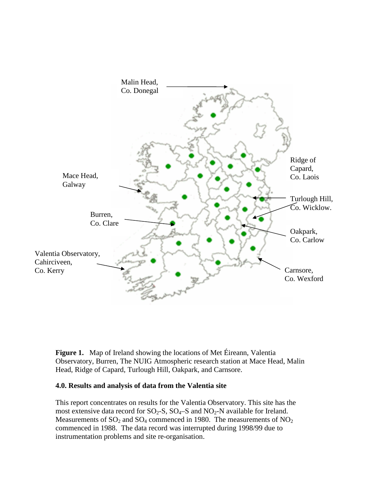

**Figure 1.** Map of Ireland showing the locations of Met Éireann, Valentia Observatory, Burren, The NUIG Atmospheric research station at Mace Head, Malin Head, Ridge of Capard, Turlough Hill, Oakpark, and Carnsore.

### **4.0. Results and analysis of data from the Valentia site**

This report concentrates on results for the Valentia Observatory. This site has the most extensive data record for  $SO_2$ -S,  $SO_4$ -S and  $NO_2$ -N available for Ireland. Measurements of  $SO_2$  and  $SO_4$  commenced in 1980. The measurements of  $NO_2$ commenced in 1988. The data record was interrupted during 1998/99 due to instrumentation problems and site re-organisation.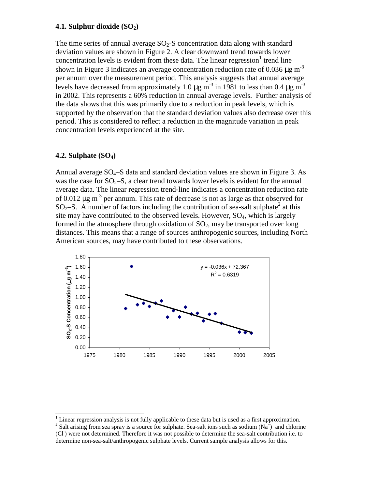#### **4.1. Sulphur dioxide (SO2)**

The time series of annual average  $SO<sub>2</sub>-S$  concentration data along with standard deviation values are shown in Figure 2. A clear downward trend towards lower concentration levels is evident from these data. The linear regression<sup>1</sup> trend line shown in Figure 3 indicates an average concentration reduction rate of 0.036  $\mu$ g m<sup>-3</sup> per annum over the measurement period. This analysis suggests that annual average levels have decreased from approximately 1.0  $\mu$ g m<sup>-3</sup> in 1981 to less than 0.4  $\mu$ g m<sup>-3</sup> in 2002. This represents a 60% reduction in annual average levels. Further analysis of the data shows that this was primarily due to a reduction in peak levels, which is supported by the observation that the standard deviation values also decrease over this period. This is considered to reflect a reduction in the magnitude variation in peak concentration levels experienced at the site.

#### **4.2. Sulphate (SO4)**

Annual average  $SO_4$ –S data and standard deviation values are shown in Figure 3. As was the case for  $SO<sub>2</sub>-S$ , a clear trend towards lower levels is evident for the annual average data. The linear regression trend-line indicates a concentration reduction rate of 0.012  $\mu$ g m<sup>-3</sup> per annum. This rate of decrease is not as large as that observed for  $SO<sub>2</sub>$ –S. A number of factors including the contribution of sea-salt sulphate<sup>2</sup> at this site may have contributed to the observed levels. However,  $SO_4$ , which is largely formed in the atmosphere through oxidation of  $SO_2$ , may be transported over long distances. This means that a range of sources anthropogenic sources, including North American sources, may have contributed to these observations.



 $<sup>1</sup>$  Linear regression analysis is not fully applicable to these data but is used as a first approximation.</sup>

<sup>&</sup>lt;sup>2</sup> Salt arising from sea spray is a source for sulphate. Sea-salt ions such as sodium (Na<sup>+</sup>) and chlorine (CI<sup>-</sup>) were not determined. Therefore it was not possible to determine the sea-salt contribution i.e. to determine non-sea-salt/anthropogenic sulphate levels. Current sample analysis allows for this.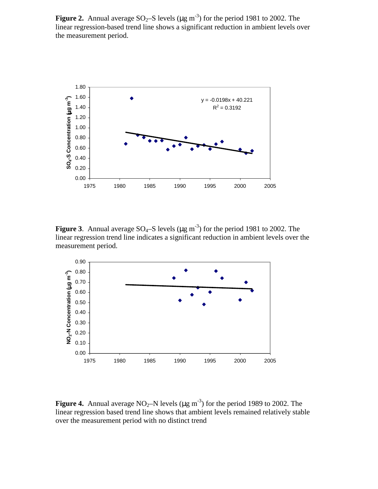**Figure 2.** Annual average  $SO_2$ –S levels ( $\mu$ g m<sup>-3</sup>) for the period 1981 to 2002. The linear regression-based trend line shows a significant reduction in ambient levels over the measurement period.



**Figure 3.** Annual average  $SO_4$ –S levels ( $\mu$ g m<sup>-3</sup>) for the period 1981 to 2002. The linear regression trend line indicates a significant reduction in ambient levels over the measurement period.



**Figure 4.** Annual average  $NO_2-N$  levels ( $\mu$ g m<sup>-3</sup>) for the period 1989 to 2002. The linear regression based trend line shows that ambient levels remained relatively stable over the measurement period with no distinct trend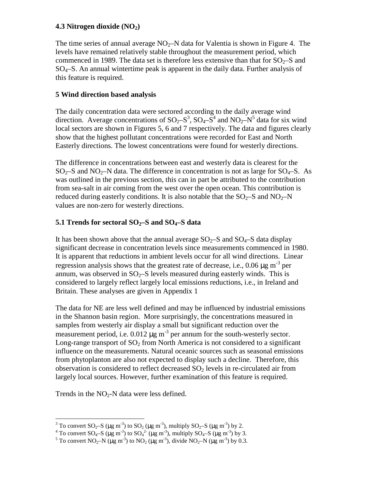## **4.3 Nitrogen dioxide (NO2)**

The time series of annual average  $NO<sub>2</sub>–N$  data for Valentia is shown in Figure 4. The levels have remained relatively stable throughout the measurement period, which commenced in 1989. The data set is therefore less extensive than that for  $SO<sub>2</sub>$ –S and  $SO_4$ –S. An annual wintertime peak is apparent in the daily data. Further analysis of this feature is required.

# **5 Wind direction based analysis**

The daily concentration data were sectored according to the daily average wind direction. Average concentrations of  $SO_2-S^3$ ,  $SO_4-S^4$  and  $NO_2-N^5$  data for six wind local sectors are shown in Figures 5, 6 and 7 respectively. The data and figures clearly show that the highest pollutant concentrations were recorded for East and North Easterly directions. The lowest concentrations were found for westerly directions.

The difference in concentrations between east and westerly data is clearest for the  $SO<sub>2</sub>$ –S and NO<sub>2</sub>–N data. The difference in concentration is not as large for  $SO<sub>4</sub>$ –S. As was outlined in the previous section, this can in part be attributed to the contribution from sea-salt in air coming from the west over the open ocean. This contribution is reduced during easterly conditions. It is also notable that the  $SO_2-S$  and  $NO_2-N$ values are non-zero for westerly directions.

# **5.1 Trends for sectoral SO2–S and SO4–S data**

It has been shown above that the annual average  $SO_2-S$  and  $SO_4-S$  data display significant decrease in concentration levels since measurements commenced in 1980. It is apparent that reductions in ambient levels occur for all wind directions. Linear regression analysis shows that the greatest rate of decrease, i.e., 0.06  $\mu$ g m<sup>-3</sup> per annum, was observed in  $SO<sub>2</sub>$ –S levels measured during easterly winds. This is considered to largely reflect largely local emissions reductions, i.e., in Ireland and Britain. These analyses are given in Appendix 1

The data for NE are less well defined and may be influenced by industrial emissions in the Shannon basin region. More surprisingly, the concentrations measured in samples from westerly air display a small but significant reduction over the measurement period, i.e.  $0.012 \mu g$  m<sup>-3</sup> per annum for the south-westerly sector. Long-range transport of  $SO<sub>2</sub>$  from North America is not considered to a significant influence on the measurements. Natural oceanic sources such as seasonal emissions from phytoplanton are also not expected to display such a decline. Therefore, this observation is considered to reflect decreased  $SO<sub>2</sub>$  levels in re-circulated air from largely local sources. However, further examination of this feature is required.

Trends in the  $NO<sub>2</sub>$ -N data were less defined.

<sup>&</sup>lt;sup>3</sup> To convert SO<sub>2</sub>–S (µg m<sup>-3</sup>) to SO<sub>2</sub> (µg m<sup>-3</sup>), multiply SO<sub>2</sub>–S (µg m<sup>-3</sup>) by 2.

<sup>&</sup>lt;sup>4</sup> To convert SO<sub>4</sub>–S (µg m<sup>-3</sup>) to SO<sub>4</sub><sup>2</sup> (µg m<sup>-3</sup>), multiply SO<sub>4</sub>–S (µg m<sup>-3</sup>) by 3.

<sup>&</sup>lt;sup>5</sup> To convert NO<sub>2</sub>–N (µg m<sup>-3</sup>) to NO<sub>2</sub> (µg m<sup>-3</sup>), divide NO<sub>2</sub>–N (µg m<sup>-3</sup>) by 0.3.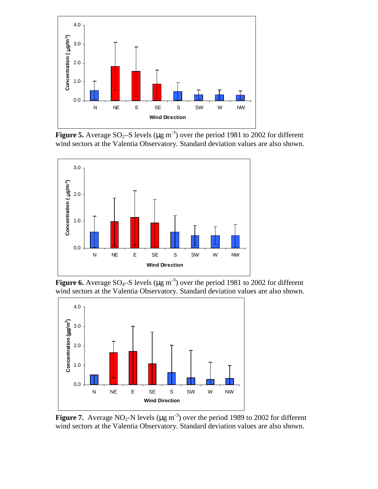

**Figure 5.** Average  $SO_2$ –S levels ( $\mu$ g m<sup>-3</sup>) over the period 1981 to 2002 for different wind sectors at the Valentia Observatory. Standard deviation values are also shown.



**Figure 6.** Average  $SO_4$ – $S$  levels ( $\mu$ g m<sup>-3</sup>) over the period 1981 to 2002 for different wind sectors at the Valentia Observatory. Standard deviation values are also shown.



**Figure 7.** Average  $NO_2$ -N levels ( $\mu$ g m<sup>-3</sup>) over the period 1989 to 2002 for different wind sectors at the Valentia Observatory. Standard deviation values are also shown.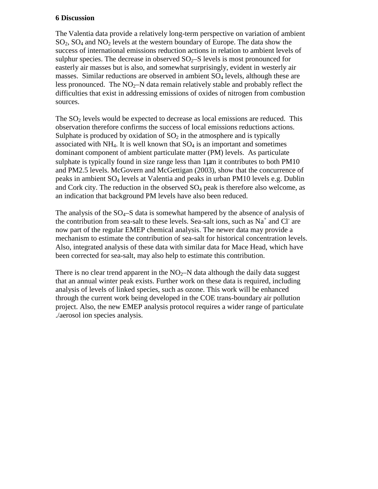#### **6 Discussion**

The Valentia data provide a relatively long-term perspective on variation of ambient  $SO_2$ ,  $SO_4$  and  $NO_2$  levels at the western boundary of Europe. The data show the success of international emissions reduction actions in relation to ambient levels of sulphur species. The decrease in observed  $SO<sub>2</sub>$ –S levels is most pronounced for easterly air masses but is also, and somewhat surprisingly, evident in westerly air masses. Similar reductions are observed in ambient  $SO<sub>4</sub>$  levels, although these are less pronounced. The  $NO<sub>2</sub>–N$  data remain relatively stable and probably reflect the difficulties that exist in addressing emissions of oxides of nitrogen from combustion sources.

The  $SO<sub>2</sub>$  levels would be expected to decrease as local emissions are reduced. This observation therefore confirms the success of local emissions reductions actions. Sulphate is produced by oxidation of  $SO<sub>2</sub>$  in the atmosphere and is typically associated with  $NH_4$ . It is well known that  $SO_4$  is an important and sometimes dominant component of ambient particulate matter (PM) levels. As particulate sulphate is typically found in size range less than  $1\mu$ m it contributes to both PM10 and PM2.5 levels. McGovern and McGettigan (2003), show that the concurrence of peaks in ambient  $SO_4$  levels at Valentia and peaks in urban PM10 levels e.g. Dublin and Cork city. The reduction in the observed  $SO<sub>4</sub>$  peak is therefore also welcome, as an indication that background PM levels have also been reduced.

The analysis of the  $SO_4$ –S data is somewhat hampered by the absence of analysis of the contribution from sea-salt to these levels. Sea-salt ions, such as  $Na<sup>+</sup>$  and Cl are now part of the regular EMEP chemical analysis. The newer data may provide a mechanism to estimate the contribution of sea-salt for historical concentration levels. Also, integrated analysis of these data with similar data for Mace Head, which have been corrected for sea-salt, may also help to estimate this contribution.

There is no clear trend apparent in the  $NO<sub>2</sub>–N$  data although the daily data suggest that an annual winter peak exists. Further work on these data is required, including analysis of levels of linked species, such as ozone. This work will be enhanced through the current work being developed in the COE trans-boundary air pollution project. Also, the new EMEP analysis protocol requires a wider range of particulate ./aerosol ion species analysis.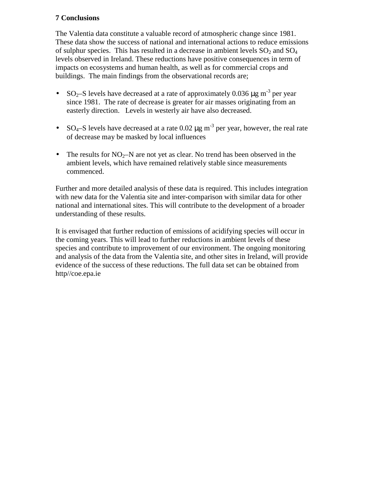# **7 Conclusions**

The Valentia data constitute a valuable record of atmospheric change since 1981. These data show the success of national and international actions to reduce emissions of sulphur species. This has resulted in a decrease in ambient levels  $SO_2$  and  $SO_4$ levels observed in Ireland. These reductions have positive consequences in term of impacts on ecosystems and human health, as well as for commercial crops and buildings. The main findings from the observational records are;

- SO<sub>2</sub>-S levels have decreased at a rate of approximately 0.036  $\mu$ g m<sup>-3</sup> per year since 1981. The rate of decrease is greater for air masses originating from an easterly direction. Levels in westerly air have also decreased.
- SO<sub>4</sub>-S levels have decreased at a rate 0.02  $\mu$ g m<sup>-3</sup> per year, however, the real rate of decrease may be masked by local influences
- The results for  $NO<sub>2</sub>–N$  are not yet as clear. No trend has been observed in the ambient levels, which have remained relatively stable since measurements commenced.

Further and more detailed analysis of these data is required. This includes integration with new data for the Valentia site and inter-comparison with similar data for other national and international sites. This will contribute to the development of a broader understanding of these results.

It is envisaged that further reduction of emissions of acidifying species will occur in the coming years. This will lead to further reductions in ambient levels of these species and contribute to improvement of our environment. The ongoing monitoring and analysis of the data from the Valentia site, and other sites in Ireland, will provide evidence of the success of these reductions. The full data set can be obtained from http//coe.epa.ie